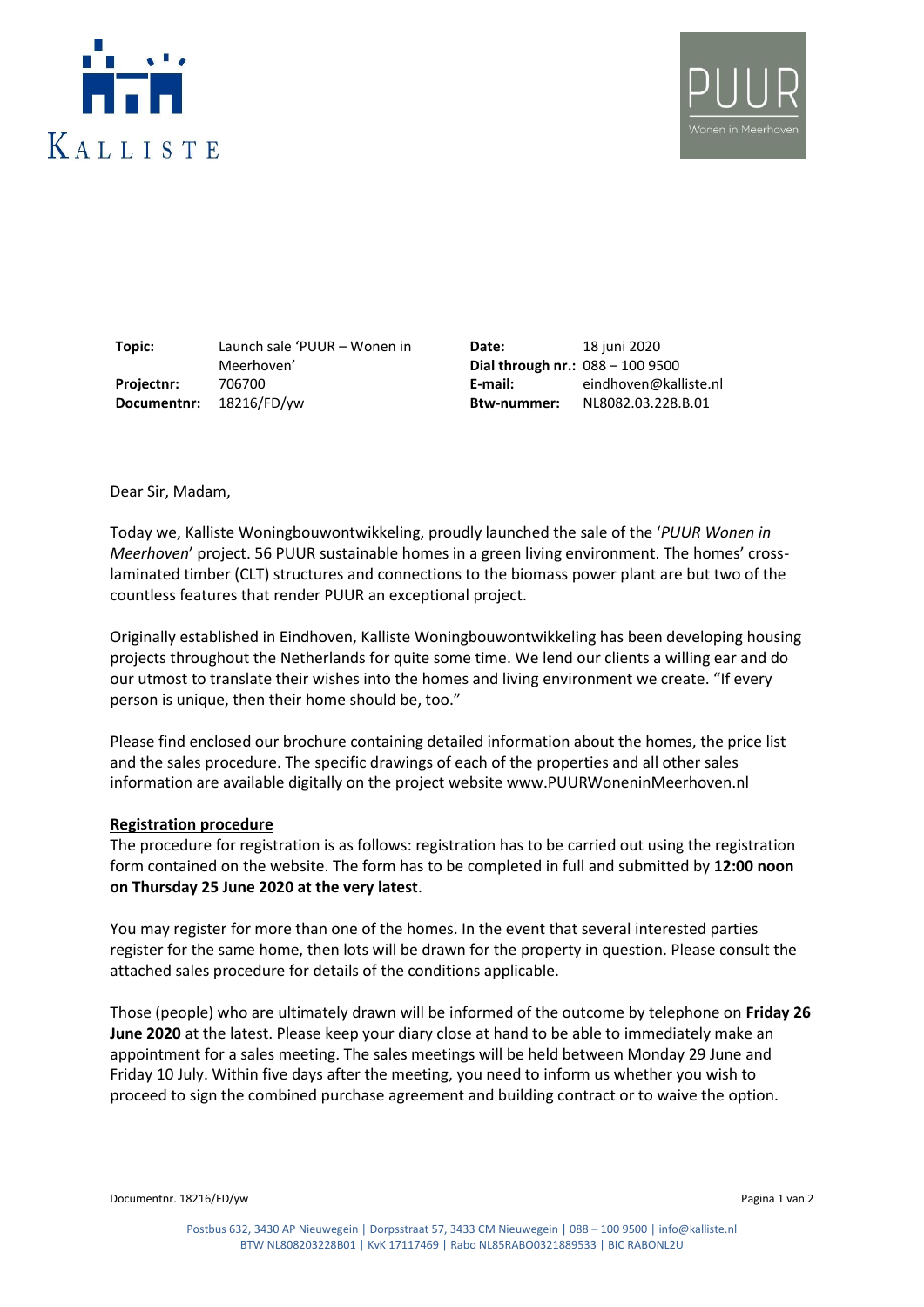



**Topic:** Launch sale 'PUUR – Wonen in Meerhoven' **Projectnr:** 706700 **E-mail:** eindhoven@kalliste.nl **Documentnr:** 18216/FD/yw **Btw-nummer:** NL8082.03.228.B.01

**Date: Dial through nr.:** 088 – 100 9500 18 juni 2020

Dear Sir, Madam,

Today we, Kalliste Woningbouwontwikkeling, proudly launched the sale of the '*PUUR Wonen in Meerhoven*' project. 56 PUUR sustainable homes in a green living environment. The homes' crosslaminated timber (CLT) structures and connections to the biomass power plant are but two of the countless features that render PUUR an exceptional project.

Originally established in Eindhoven, Kalliste Woningbouwontwikkeling has been developing housing projects throughout the Netherlands for quite some time. We lend our clients a willing ear and do our utmost to translate their wishes into the homes and living environment we create. "If every person is unique, then their home should be, too."

Please find enclosed our brochure containing detailed information about the homes, the price list and the sales procedure. The specific drawings of each of the properties and all other sales information are available digitally on the project website www.PUURWoneninMeerhoven.nl

## **Registration procedure**

The procedure for registration is as follows: registration has to be carried out using the registration form contained on the website. The form has to be completed in full and submitted by **12:00 noon on Thursday 25 June 2020 at the very latest**.

You may register for more than one of the homes. In the event that several interested parties register for the same home, then lots will be drawn for the property in question. Please consult the attached sales procedure for details of the conditions applicable.

Those (people) who are ultimately drawn will be informed of the outcome by telephone on **Friday 26 June 2020** at the latest. Please keep your diary close at hand to be able to immediately make an appointment for a sales meeting. The sales meetings will be held between Monday 29 June and Friday 10 July. Within five days after the meeting, you need to inform us whether you wish to proceed to sign the combined purchase agreement and building contract or to waive the option.